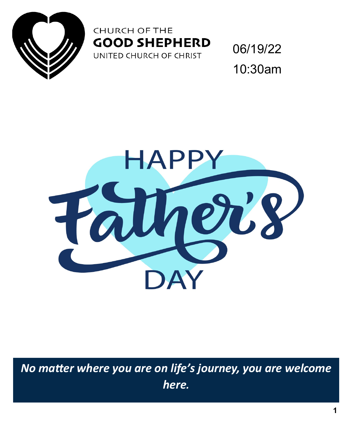



06/19/22 10:30am



*No matter where you are on life's journey, you are welcome here.*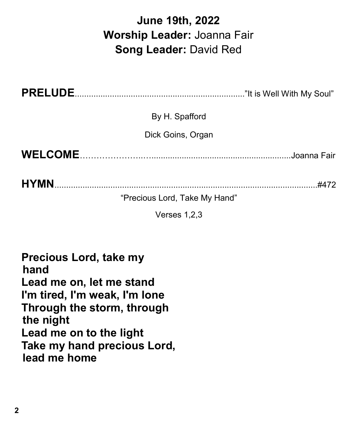#### **June 19th, 2022 Worship Leader:** Joanna Fair **Song Leader:** David Red

**PRELUDE**........................................................................."It is Well With My Soul"

By H. Spafford

Dick Goins, Organ

**WELCOME**…………………..…............................................................Joanna Fair

**HYMN**.................................................................................................................#472

"Precious Lord, Take My Hand"

Verses 1,2,3

**Precious Lord, take my hand Lead me on, let me stand I'm tired, I'm weak, I'm lone Through the storm, through the night Lead me on to the light Take my hand precious Lord, lead me home**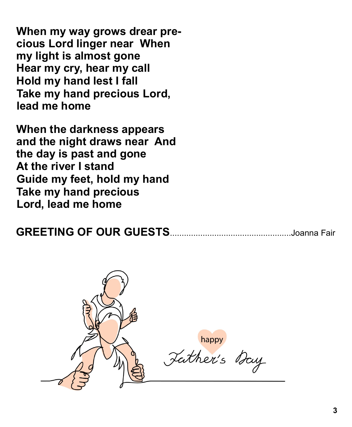**When my way grows drear precious Lord linger near When my light is almost gone Hear my cry, hear my call Hold my hand lest I fall Take my hand precious Lord, lead me home** 

**When the darkness appears and the night draws near And the day is past and gone At the river I stand Guide my feet, hold my hand Take my hand precious Lord, lead me home**

**GREETING OF OUR GUESTS**....................................................Joanna Fair

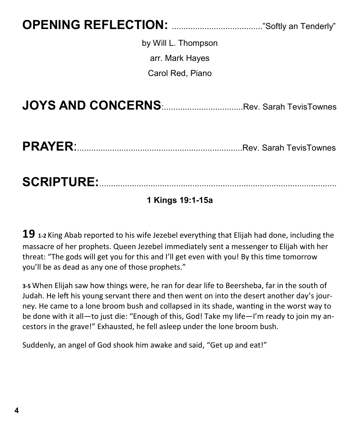## **OPENING REFLECTION:** ......................................."Softly an Tenderly"

by Will L. Thompson arr. Mark Hayes Carol Red, Piano

**JOYS AND CONCERNS**:..................................Rev. Sarah TevisTownes

**PRAYER**:.......................................................................Rev. Sarah TevisTownes

|--|

#### **1 Kings 19:1-15a**

**19 <sup>1</sup>-<sup>2</sup>** King Abab reported to his wife Jezebel everything that Elijah had done, including the massacre of her prophets. Queen Jezebel immediately sent a messenger to Elijah with her threat: "The gods will get you for this and I'll get even with you! By this time tomorrow you'll be as dead as any one of those prophets."

**3-5** When Elijah saw how things were, he ran for dear life to Beersheba, far in the south of Judah. He left his young servant there and then went on into the desert another day's journey. He came to a lone broom bush and collapsed in its shade, wanting in the worst way to be done with it all—to just die: "Enough of this, God! Take my life—I'm ready to join my ancestors in the grave!" Exhausted, he fell asleep under the lone broom bush.

Suddenly, an angel of God shook him awake and said, "Get up and eat!"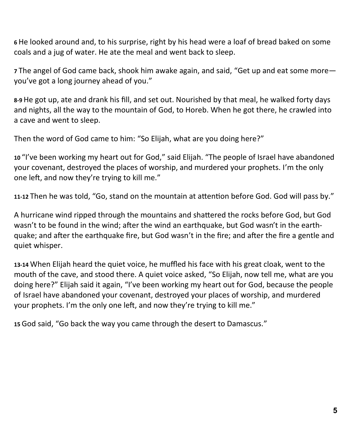**6** He looked around and, to his surprise, right by his head were a loaf of bread baked on some coals and a jug of water. He ate the meal and went back to sleep.

**7** The angel of God came back, shook him awake again, and said, "Get up and eat some more you've got a long journey ahead of you."

**8-9** He got up, ate and drank his fill, and set out. Nourished by that meal, he walked forty days and nights, all the way to the mountain of God, to Horeb. When he got there, he crawled into a cave and went to sleep.

Then the word of God came to him: "So Elijah, what are you doing here?"

**10** "I've been working my heart out for God," said Elijah. "The people of Israel have abandoned your covenant, destroyed the places of worship, and murdered your prophets. I'm the only one left, and now they're trying to kill me."

**11-12** Then he was told, "Go, stand on the mountain at attention before God. God will pass by."

A hurricane wind ripped through the mountains and shattered the rocks before God, but God wasn't to be found in the wind; after the wind an earthquake, but God wasn't in the earthquake; and after the earthquake fire, but God wasn't in the fire; and after the fire a gentle and quiet whisper.

**13-14** When Elijah heard the quiet voice, he muffled his face with his great cloak, went to the mouth of the cave, and stood there. A quiet voice asked, "So Elijah, now tell me, what are you doing here?" Elijah said it again, "I've been working my heart out for God, because the people of Israel have abandoned your covenant, destroyed your places of worship, and murdered your prophets. I'm the only one left, and now they're trying to kill me."

**15** God said, "Go back the way you came through the desert to Damascus."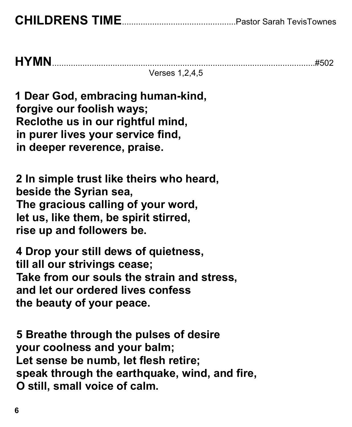|--|--|

| <b>HYMN</b> |                   |
|-------------|-------------------|
|             | Verses 1, 2, 4, 5 |

**1 Dear God, embracing human-kind, forgive our foolish ways; Reclothe us in our rightful mind, in purer lives your service find, in deeper reverence, praise.**

**2 In simple trust like theirs who heard, beside the Syrian sea, The gracious calling of your word, let us, like them, be spirit stirred, rise up and followers be.** 

**4 Drop your still dews of quietness, till all our strivings cease; Take from our souls the strain and stress, and let our ordered lives confess the beauty of your peace.**

**5 Breathe through the pulses of desire your coolness and your balm; Let sense be numb, let flesh retire; speak through the earthquake, wind, and fire, O still, small voice of calm.**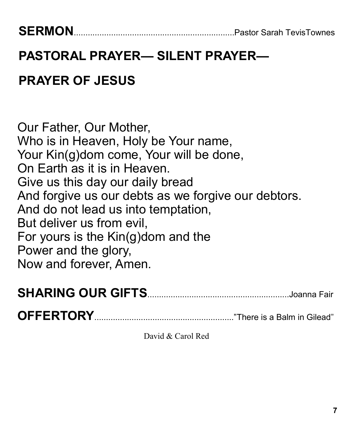# **PASTORAL PRAYER— SILENT PRAYER—**

### **PRAYER OF JESUS**

Our Father, Our Mother, Who is in Heaven, Holy be Your name, Your Kin(g)dom come, Your will be done, On Earth as it is in Heaven. Give us this day our daily bread And forgive us our debts as we forgive our debtors. And do not lead us into temptation, But deliver us from evil, For yours is the Kin(g)dom and the Power and the glory, Now and forever, Amen.

|--|--|

**OFFERTORY**............................................................"There is a Balm in Gilead"

David & Carol Red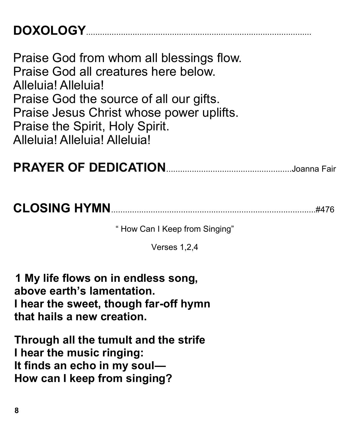## **DOXOLOGY**.................................................................................................

Praise God from whom all blessings flow. Praise God all creatures here below. Alleluia! Alleluia! Praise God the source of all our gifts. Praise Jesus Christ whose power uplifts. Praise the Spirit, Holy Spirit. Alleluia! Alleluia! Alleluia!

# **PRAYER OF DEDICATION**......................................................Joanna Fair

# **CLOSING HYMN**........................................................................................#476

" How Can I Keep from Singing"

Verses 1,2,4

**1 My life flows on in endless song, above earth's lamentation. I hear the sweet, though far-off hymn that hails a new creation.** 

**Through all the tumult and the strife I hear the music ringing: It finds an echo in my soul— How can I keep from singing?**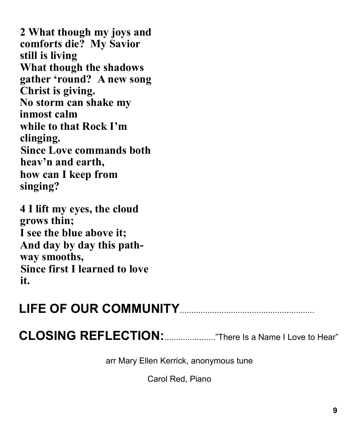**2 What though my joys and comforts die? My Savior still is living What though the shadows gather 'round? A new song Christ is giving. No storm can shake my inmost calm while to that Rock I'm clinging. Since Love commands both heav'n and earth, how can I keep from singing?**

**4 I lift my eyes, the cloud grows thin; I see the blue above it; And day by day this pathway smooths, Since first I learned to love it.** 

## **LIFE OF OUR COMMUNITY**..........................................................

**CLOSING REFLECTION:**......................"There Is a Name I Love to Hear"

arr Mary Ellen Kerrick, anonymous tune

Carol Red, Piano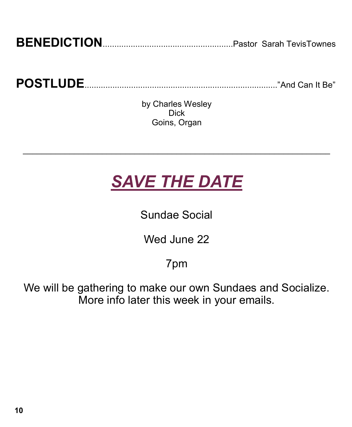**BENEDICTION**........................................................Pastor Sarah TevisTownes

**POSTLUDE**..................................................................................."And Can It Be"

by Charles Wesley Dick Goins, Organ

# *SAVE THE DATE*

\_\_\_\_\_\_\_\_\_\_\_\_\_\_\_\_\_\_\_\_\_\_\_\_\_\_\_\_\_\_\_\_\_\_\_\_\_\_\_\_\_\_\_\_\_\_\_\_\_\_\_\_\_\_\_\_\_\_\_\_\_\_\_\_\_\_

Sundae Social

Wed June 22

#### 7pm

We will be gathering to make our own Sundaes and Socialize. More info later this week in your emails.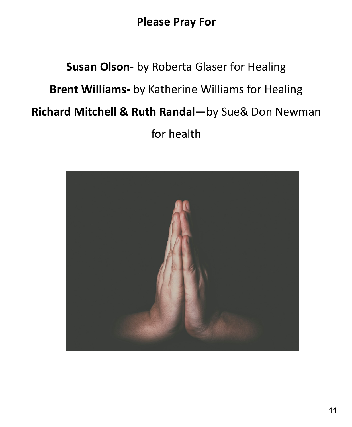#### **Please Pray For**

# **Susan Olson-** by Roberta Glaser for Healing **Brent Williams-** by Katherine Williams for Healing **Richard Mitchell & Ruth Randal—**by Sue& Don Newman for health